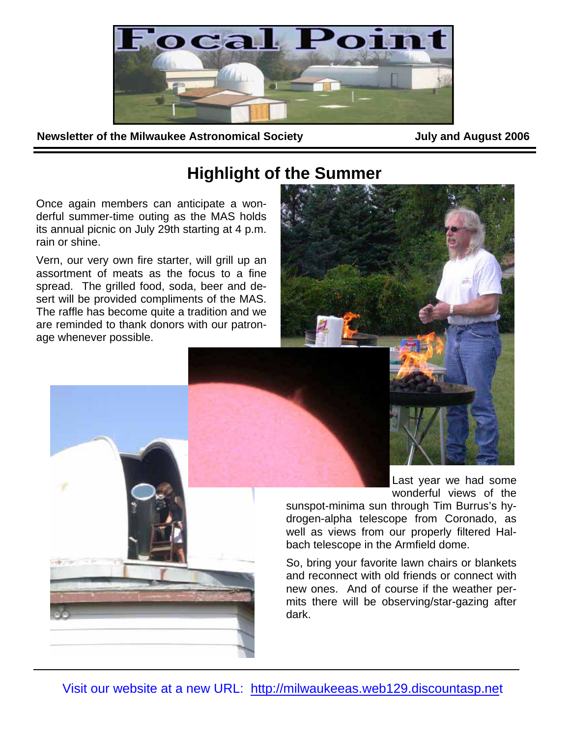

**Newsletter of the Milwaukee Astronomical Society <b>Access 2006** *July and August 2006* 

# **Highlight of the Summer**

Once again members can anticipate a wonderful summer-time outing as the MAS holds its annual picnic on July 29th starting at 4 p.m. rain or shine.

Vern, our very own fire starter, will grill up an assortment of meats as the focus to a fine spread. The grilled food, soda, beer and desert will be provided compliments of the MAS. The raffle has become quite a tradition and we are reminded to thank donors with our patronage whenever possible.





Last year we had some wonderful views of the

sunspot-minima sun through Tim Burrus's hydrogen-alpha telescope from Coronado, as well as views from our properly filtered Halbach telescope in the Armfield dome.

So, bring your favorite lawn chairs or blankets and reconnect with old friends or connect with new ones. And of course if the weather permits there will be observing/star-gazing after dark.

Visit our website at a new URL: <http://milwaukeeas.web129.discountasp.net>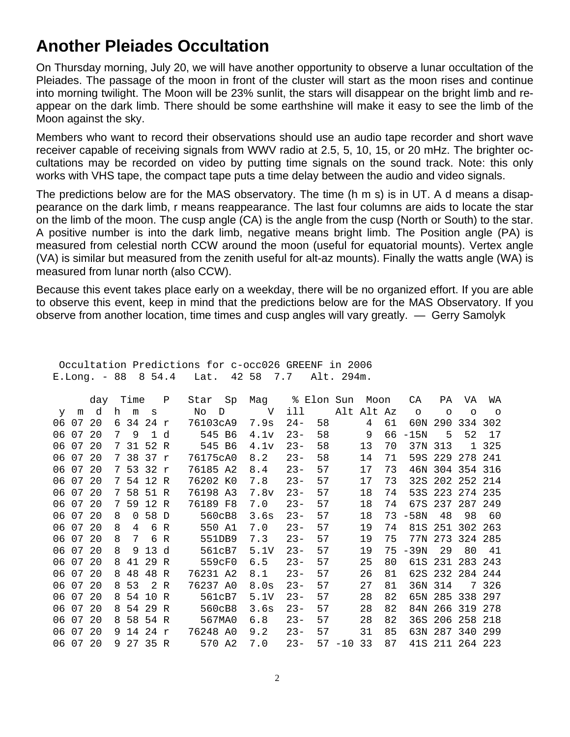# **Another Pleiades Occultation**

On Thursday morning, July 20, we will have another opportunity to observe a lunar occultation of the Pleiades. The passage of the moon in front of the cluster will start as the moon rises and continue into morning twilight. The Moon will be 23% sunlit, the stars will disappear on the bright limb and reappear on the dark limb. There should be some earthshine will make it easy to see the limb of the Moon against the sky.

Members who want to record their observations should use an audio tape recorder and short wave receiver capable of receiving signals from WWV radio at 2.5, 5, 10, 15, or 20 mHz. The brighter occultations may be recorded on video by putting time signals on the sound track. Note: this only works with VHS tape, the compact tape puts a time delay between the audio and video signals.

The predictions below are for the MAS observatory. The time (h m s) is in UT. A d means a disappearance on the dark limb, r means reappearance. The last four columns are aids to locate the star on the limb of the moon. The cusp angle (CA) is the angle from the cusp (North or South) to the star. A positive number is into the dark limb, negative means bright limb. The Position angle (PA) is measured from celestial north CCW around the moon (useful for equatorial mounts). Vertex angle (VA) is similar but measured from the zenith useful for alt-az mounts). Finally the watts angle (WA) is measured from lunar north (also CCW).

Because this event takes place early on a weekday, there will be no organized effort. If you are able to observe this event, keep in mind that the predictions below are for the MAS Observatory. If you observe from another location, time times and cusp angles will vary greatly. — Gerry Samolyk

 Occultation Predictions for c-occ026 GREENF in 2006 E.Long. - 88 8 54.4 Lat. 42 58 7.7 Alt. 294m.

|    |       | day   |   | Time      |              | $\mathbf P$ | Star     | Sp     | Mag  |        | % Elon Sun |       | Moon    |    | CA      | РA              | VA      | WA      |
|----|-------|-------|---|-----------|--------------|-------------|----------|--------|------|--------|------------|-------|---------|----|---------|-----------------|---------|---------|
| y  | m     | d     | h | m         | S            |             | No       | D      | V    | ill    |            |       | Alt Alt | Az | $\circ$ | $\circ$         | $\circ$ | $\circ$ |
| 06 | 07    | 20    | 6 | 34        | 24 r         |             | 76103cA9 |        | 7.9s | $24 -$ | 58         |       | 4       | 61 | 60N     | 290             | 334 302 |         |
| 06 | 07    | 20    | 7 | 9         | $\mathbf{1}$ | d           |          | 545 B6 | 4.1v | $23 -$ | 58         |       | 9       | 66 | $-15N$  | 5               | 52      | 17      |
| 06 | 07    | 20    |   | 7 31 52 R |              |             |          | 545 B6 | 4.1v | $23 -$ | 58         |       | 13      | 70 | 37N 313 |                 |         | 1 325   |
| 06 | 07    | 20    |   | 7 38      | 37 r         |             | 76175cA0 |        | 8.2  | $23 -$ | 58         |       | 14      | 71 | 59S     | 229             | 278     | 241     |
| 06 |       | 07 20 |   | 7 53 32 r |              |             | 76185 A2 |        | 8.4  | $23 -$ | 57         |       | 17      | 73 | 46N     | 304 354 316     |         |         |
| 06 | 07    | 20    |   | 7 54      | 12 R         |             | 76202 KO |        | 7.8  | $23 -$ | 57         |       | 17      | 73 |         | 32S 202 252 214 |         |         |
| 06 | 07    | 20    |   | 758       | 51 R         |             | 76198 A3 |        | 7.8v | $23 -$ | 57         |       | 18      | 74 | 53S     | 223 274 235     |         |         |
| 06 | 07 20 |       |   | 7 59 12 R |              |             | 76189 F8 |        | 7.0  | $23 -$ | 57         |       | 18      | 74 | 67S     | 237             | 287 249 |         |
| 06 | 07    | 20    | 8 | $\Omega$  | 58 D         |             |          | 560cB8 | 3.6s | $23 -$ | 57         |       | 18      | 73 | $-58N$  | 48              | 98      | 60      |
| 06 | 07    | 20    | 8 | 4         | 6            | R           |          | 550 A1 | 7.0  | $23 -$ | 57         |       | 19      | 74 | 81S     | 251             | 302     | 263     |
| 06 | 07    | 20    | 8 | 7         | 6            | R           |          | 551DB9 | 7.3  | $23 -$ | 57         |       | 19      | 75 | 77N     | 273             | 324 285 |         |
| 06 | 07    | 20    | 8 | 9         | 13           | d           |          | 561cB7 | 5.1V | $23 -$ | 57         |       | 19      | 75 | -39N    | 29              | 80      | 41      |
| 06 | 07 20 |       | 8 | 41        | 29 R         |             |          | 559cF0 | 6.5  | $23 -$ | 57         |       | 25      | 80 | 61S     | 231             | 283 243 |         |
| 06 | 07    | 20    | 8 | 48        | 48           | R           | 76231 A2 |        | 8.1  | $23 -$ | 57         |       | 26      | 81 | 62S     | 232 284 244     |         |         |
| 06 | 07    | 20    | 8 | 53        | 2            | R           | 76237 AO |        | 8.0s | $23 -$ | 57         |       | 27      | 81 | 36N     | 314             |         | 7326    |
| 06 | 07    | 20    | 8 | 54        | 10 R         |             |          | 561cB7 | 5.1V | $23 -$ | 57         |       | 28      | 82 | 65N     | 285 338         |         | 297     |
| 06 | 07    | 20    | 8 | 54        | 29 R         |             |          | 560cB8 | 3.6s | $23 -$ | 57         |       | 28      | 82 | 84N     | 266             | 319     | 278     |
| 06 | 07    | 20    | 8 | 58        | 54 R         |             |          | 567MA0 | 6.8  | $23 -$ | 57         |       | 28      | 82 |         | 36S 206         | 258 218 |         |
| 06 | 07    | 20    |   | 9 14      | 24 r         |             | 76248 AO |        | 9.2  | $23 -$ | 57         |       | 31      | 85 | 63N     | 287             | 340     | 299     |
| 06 | 07    | 20    |   | 9 27 35 R |              |             |          | 570 A2 | 7.0  | $23 -$ | 57         | $-10$ | 33      | 87 | 41S     | 211 264 223     |         |         |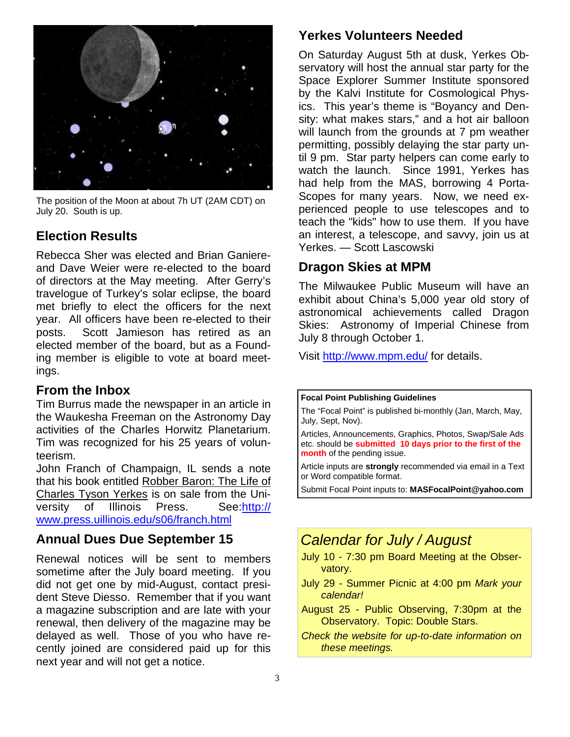

The position of the Moon at about 7h UT (2AM CDT) on July 20. South is up.

# **Election Results**

Rebecca Sher was elected and Brian Ganiereand Dave Weier were re-elected to the board of directors at the May meeting. After Gerry's travelogue of Turkey's solar eclipse, the board met briefly to elect the officers for the next year. All officers have been re-elected to their posts. Scott Jamieson has retired as an elected member of the board, but as a Founding member is eligible to vote at board meetings.

## **From the Inbox**

Tim Burrus made the newspaper in an article in the Waukesha Freeman on the Astronomy Day activities of the Charles Horwitz Planetarium. Tim was recognized for his 25 years of volunteerism.

John Franch of Champaign, IL sends a note that his book entitled Robber Baron: The Life of Charles Tyson Yerkes is on sale from the Uni[versity of Illinois Press. See:http://](http://www.press.uillinois.edu/s06/franch.html) www.press.uillinois.edu/s06/franch.html

## **Annual Dues Due September 15**

Renewal notices will be sent to members sometime after the July board meeting. If you did not get one by mid-August, contact president Steve Diesso. Remember that if you want a magazine subscription and are late with your renewal, then delivery of the magazine may be delayed as well. Those of you who have recently joined are considered paid up for this next year and will not get a notice.

# **Yerkes Volunteers Needed**

On Saturday August 5th at dusk, Yerkes Observatory will host the annual star party for the Space Explorer Summer Institute sponsored by the Kalvi Institute for Cosmological Physics. This year's theme is "Boyancy and Density: what makes stars," and a hot air balloon will launch from the grounds at 7 pm weather permitting, possibly delaying the star party until 9 pm. Star party helpers can come early to watch the launch. Since 1991, Yerkes has had help from the MAS, borrowing 4 Porta-Scopes for many years. Now, we need experienced people to use telescopes and to teach the "kids" how to use them. If you have an interest, a telescope, and savvy, join us at Yerkes. — Scott Lascowski

## **Dragon Skies at MPM**

The Milwaukee Public Museum will have an exhibit about China's 5,000 year old story of astronomical achievements called Dragon Skies: Astronomy of Imperial Chinese from July 8 through October 1.

Visit <http://www.mpm.edu/>for details.

#### **Focal Point Publishing Guidelines**

The "Focal Point" is published bi-monthly (Jan, March, May, July, Sept, Nov).

Articles, Announcements, Graphics, Photos, Swap/Sale Ads etc. should be **submitted 10 days prior to the first of the month** of the pending issue.

Article inputs are **strongly** recommended via email in a Text or Word compatible format.

Submit Focal Point inputs to: **MASFocalPoint@yahoo.com**

# *Calendar for July / August*

- July 10 7:30 pm Board Meeting at the Observatory.
- July 29 Summer Picnic at 4:00 pm *Mark your calendar!*
- August 25 Public Observing, 7:30pm at the Observatory. Topic: Double Stars.
- *Check the website for up-to-date information on these meetings.*